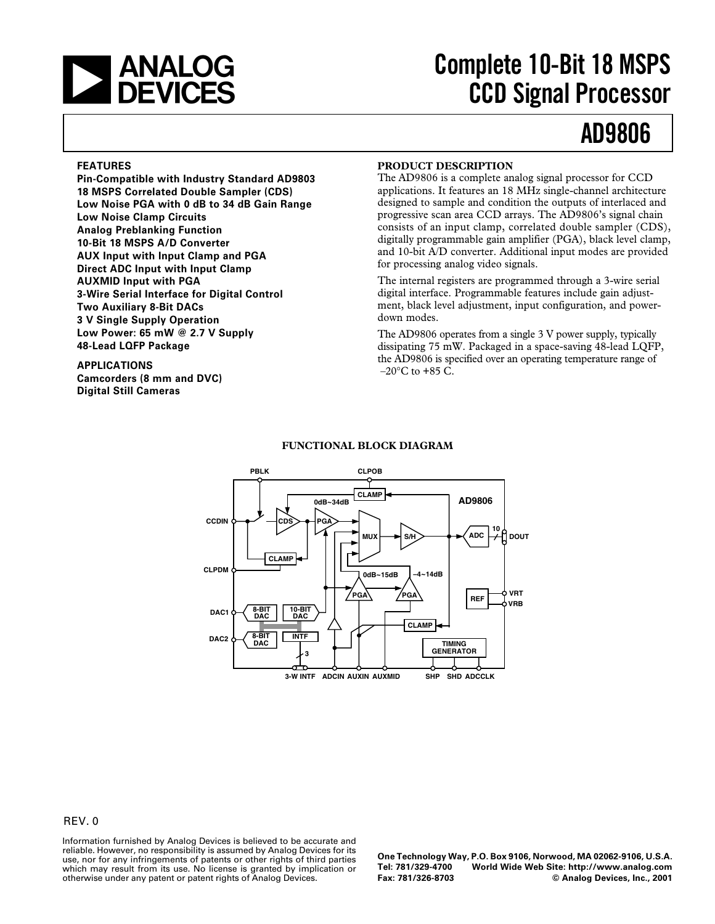

# **Complete 10-Bit 18 MSPS CCD Signal Processor**

# **AD9806**

#### **FEATURES**

**Pin-Compatible with Industry Standard AD9803 18 MSPS Correlated Double Sampler (CDS) Low Noise PGA with 0 dB to 34 dB Gain Range Low Noise Clamp Circuits Analog Preblanking Function 10-Bit 18 MSPS A/D Converter AUX Input with Input Clamp and PGA Direct ADC Input with Input Clamp AUXMID Input with PGA 3-Wire Serial Interface for Digital Control Two Auxiliary 8-Bit DACs 3 V Single Supply Operation Low Power: 65 mW @ 2.7 V Supply 48-Lead LQFP Package**

**APPLICATIONS Camcorders (8 mm and DVC) Digital Still Cameras**

#### **PRODUCT DESCRIPTION**

The AD9806 is a complete analog signal processor for CCD applications. It features an 18 MHz single-channel architecture designed to sample and condition the outputs of interlaced and progressive scan area CCD arrays. The AD9806's signal chain consists of an input clamp, correlated double sampler (CDS), digitally programmable gain amplifier (PGA), black level clamp, and 10-bit A/D converter. Additional input modes are provided for processing analog video signals.

The internal registers are programmed through a 3-wire serial digital interface. Programmable features include gain adjustment, black level adjustment, input configuration, and powerdown modes.

The AD9806 operates from a single 3 V power supply, typically dissipating 75 mW. Packaged in a space-saving 48-lead LQFP, the AD9806 is specified over an operating temperature range of  $-20\degree$ C to  $+85$  C.



### **FUNCTIONAL BLOCK DIAGRAM**

#### REV. 0

Information furnished by Analog Devices is believed to be accurate and reliable. However, no responsibility is assumed by Analog Devices for its use, nor for any infringements of patents or other rights of third parties which may result from its use. No license is granted by implication or otherwise under any patent or patent rights of Analog Devices.

**One Technology Way, P.O. Box 9106, Norwood, MA 02062-9106, U.S.A. Tel: 781/329-4700 World Wide Web Site: http://www.analog.com**  $©$  Analog Devices, Inc., 2001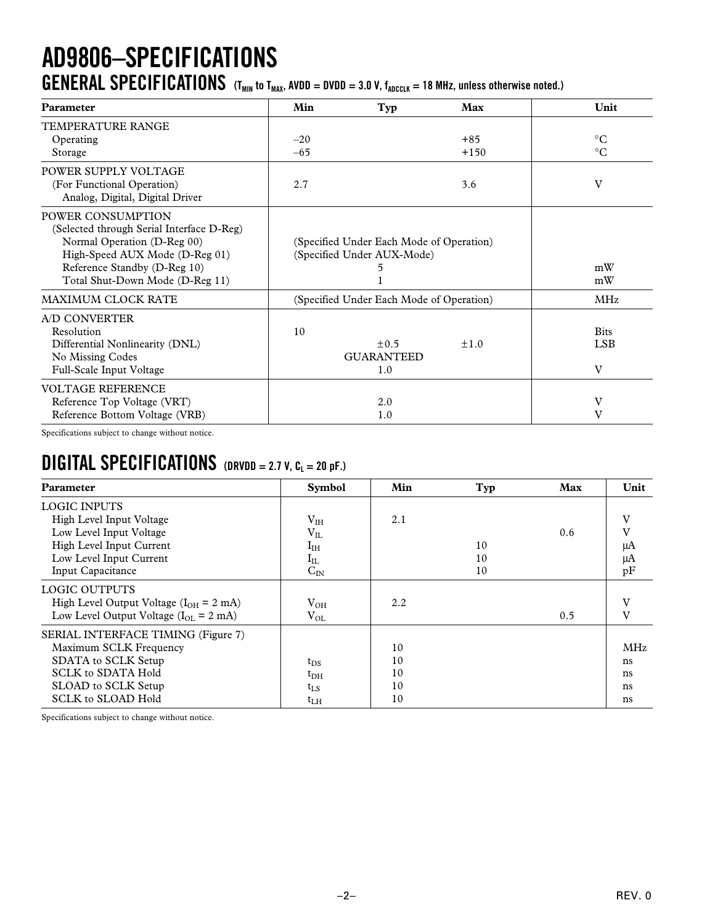## **AD9806–SPECIFICATIONS GENERAL SPECIFICATIONS**  $(T_{MIN}$  to  $T_{MAX}$ , AVDD = DVDD = 3.0 V,  $f_{ADCLK}$  = 18 MHz, unless otherwise noted.)

| Parameter                                                                                                                                                                                          | Min   | Typ                                                                    | Max       | Unit                           |
|----------------------------------------------------------------------------------------------------------------------------------------------------------------------------------------------------|-------|------------------------------------------------------------------------|-----------|--------------------------------|
| TEMPERATURE RANGE<br>Operating                                                                                                                                                                     | $-20$ |                                                                        | $+85$     | $\rm ^{\circ}C$                |
| Storage                                                                                                                                                                                            | $-65$ |                                                                        | $+150$    | $^{\circ}C$                    |
| POWER SUPPLY VOLTAGE<br>(For Functional Operation)<br>Analog, Digital, Digital Driver                                                                                                              | 2.7   |                                                                        | 3.6       | V                              |
| POWER CONSUMPTION<br>(Selected through Serial Interface D-Reg)<br>Normal Operation (D-Reg 00)<br>High-Speed AUX Mode (D-Reg 01)<br>Reference Standby (D-Reg 10)<br>Total Shut-Down Mode (D-Reg 11) |       | (Specified Under Each Mode of Operation)<br>(Specified Under AUX-Mode) |           | mW<br>mW                       |
| <b>MAXIMUM CLOCK RATE</b>                                                                                                                                                                          |       | (Specified Under Each Mode of Operation)                               |           | <b>MHz</b>                     |
| A/D CONVERTER<br>Resolution<br>Differential Nonlinearity (DNL)<br>No Missing Codes<br>Full-Scale Input Voltage                                                                                     | 10    | $\pm 0.5$<br><b>GUARANTEED</b><br>1.0                                  | $\pm 1.0$ | <b>Bits</b><br><b>LSB</b><br>V |
| <b>VOLTAGE REFERENCE</b><br>Reference Top Voltage (VRT)<br>Reference Bottom Voltage (VRB)                                                                                                          |       | 2.0<br>1.0                                                             |           | V<br>V                         |

Specifications subject to change without notice.

### **DIGITAL SPECIFICATIONS (DRVDD = 2.7 V, CL = 20 pF.)**

| Parameter                                          | <b>Symbol</b> | Min | Typ | <b>Max</b> | Unit       |
|----------------------------------------------------|---------------|-----|-----|------------|------------|
| <b>LOGIC INPUTS</b>                                |               |     |     |            |            |
| High Level Input Voltage                           | $V_{IH}$      | 2.1 |     |            | V          |
| Low Level Input Voltage                            | $V_{IL}$      |     |     | 0.6        | v          |
| High Level Input Current                           | $I_{\rm IH}$  |     | 10  |            | μA         |
| Low Level Input Current                            | $\rm I_{IL}$  |     | 10  |            | μA         |
| Input Capacitance                                  | $C_{IN}$      |     | 10  |            | pF         |
| <b>LOGIC OUTPUTS</b>                               |               |     |     |            |            |
| High Level Output Voltage ( $I_{OH}$ = 2 mA)       | $V_{OH}$      | 2.2 |     |            | V          |
| Low Level Output Voltage $(I_{OL} = 2 \text{ mA})$ | $V_{OL}$      |     |     | 0.5        | V          |
| <b>SERIAL INTERFACE TIMING (Figure 7)</b>          |               |     |     |            |            |
| Maximum SCLK Frequency                             |               | 10  |     |            | <b>MHz</b> |
| SDATA to SCLK Setup                                | $t_{DS}$      | 10  |     |            | ns         |
| <b>SCLK to SDATA Hold</b>                          | $t_{\rm DH}$  | 10  |     |            | ns         |
| SLOAD to SCLK Setup                                | $t_{\rm LS}$  | 10  |     |            | ns         |
| <b>SCLK to SLOAD Hold</b>                          | $t_{LH}$      | 10  |     |            | ns         |

Specifications subject to change without notice.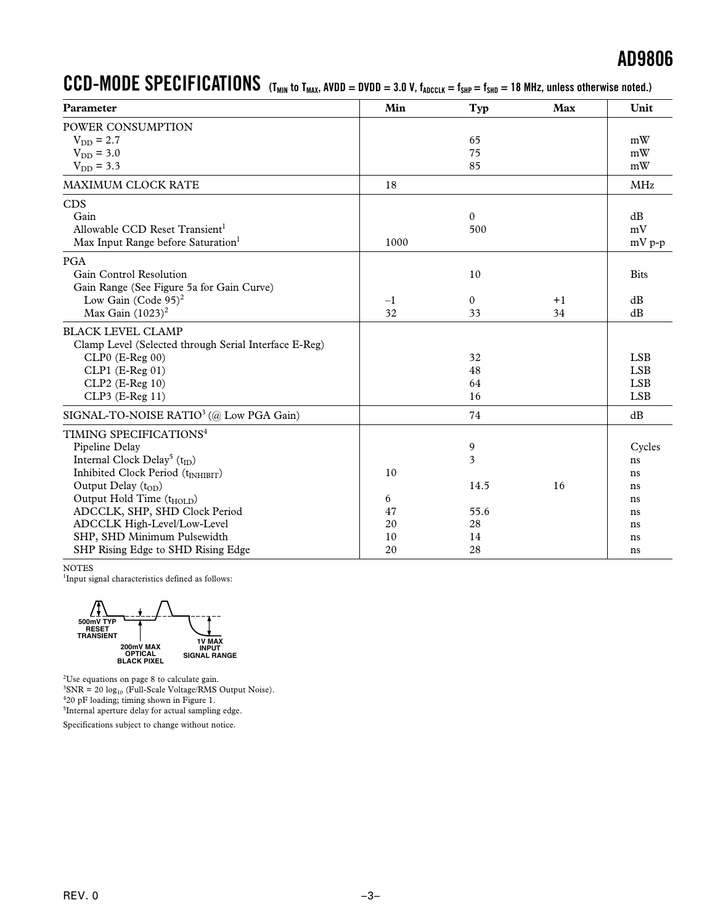### $CCD-MODE$   $SPECIFICATIONS$  (T<sub>MIN</sub> to T<sub>MAX</sub>, AVDD = DVDD = 3.0 V,  $f_{ADCCK} = f_{SHP} = f_{SHD} = 18$  MHz, unless otherwise noted.)

| Parameter                                             | Min  | Typ          | <b>Max</b> | Unit        |
|-------------------------------------------------------|------|--------------|------------|-------------|
| POWER CONSUMPTION                                     |      |              |            |             |
| $V_{DD} = 2.7$                                        |      | 65           |            | mW          |
| $V_{DD} = 3.0$                                        |      | 75           |            | mW          |
| $V_{DD} = 3.3$                                        |      | 85           |            | mW          |
| <b>MAXIMUM CLOCK RATE</b>                             | 18   |              |            | <b>MHz</b>  |
| <b>CDS</b>                                            |      |              |            |             |
| Gain                                                  |      | $\mathbf{0}$ |            | dB          |
| Allowable CCD Reset Transient <sup>1</sup>            |      | 500          |            | mV          |
| Max Input Range before Saturation <sup>1</sup>        | 1000 |              |            | $mV p-p$    |
| <b>PGA</b>                                            |      |              |            |             |
| Gain Control Resolution                               |      | 10           |            | <b>Bits</b> |
| Gain Range (See Figure 5a for Gain Curve)             |      |              |            |             |
| Low Gain (Code $95)^2$                                | $-1$ | $\mathbf{0}$ | $+1$       | dB          |
| Max Gain $(1023)^2$                                   | 32   | 33           | 34         | dB          |
| <b>BLACK LEVEL CLAMP</b>                              |      |              |            |             |
| Clamp Level (Selected through Serial Interface E-Reg) |      |              |            |             |
| $CLP0$ (E-Reg 00)                                     |      | 32           |            | <b>LSB</b>  |
| $CLP1$ (E-Reg 01)                                     |      | 48           |            | <b>LSB</b>  |
| CLP2 (E-Reg 10)                                       |      | 64           |            | <b>LSB</b>  |
| CLP3 (E-Reg 11)                                       |      | 16           |            | <b>LSB</b>  |
| SIGNAL-TO-NOISE RATIO <sup>3</sup> (@ Low PGA Gain)   |      | 74           |            | dB          |
| TIMING SPECIFICATIONS <sup>4</sup>                    |      |              |            |             |
| Pipeline Delay                                        |      | 9            |            | Cycles      |
| Internal Clock Delay <sup>5</sup> (t <sub>ID</sub> )  |      | 3            |            | ns          |
| Inhibited Clock Period (tINHIBIT)                     | 10   |              |            | ns          |
| Output Delay $(t_{OD})$                               |      | 14.5         | 16         | ns          |
| Output Hold Time (t <sub>HOLD</sub> )                 | 6    |              |            | ns          |
| ADCCLK, SHP, SHD Clock Period                         | 47   | 55.6         |            | ns          |
| ADCCLK High-Level/Low-Level                           | 20   | 28           |            | ns          |
| SHP, SHD Minimum Pulsewidth                           | 10   | 14           |            | ns          |
| SHP Rising Edge to SHD Rising Edge                    | 20   | 28           |            | ns          |

NOTES

<sup>1</sup>Input signal characteristics defined as follows:



Use equations on page 8 to calculate gain. SNR = 20 log<sub>10</sub> (Full-Scale Voltage/RMS Output Noise). 20 pF loading; timing shown in Figure 1. <sup>5</sup>Internal aperture delay for actual sampling edge.

Specifications subject to change without notice.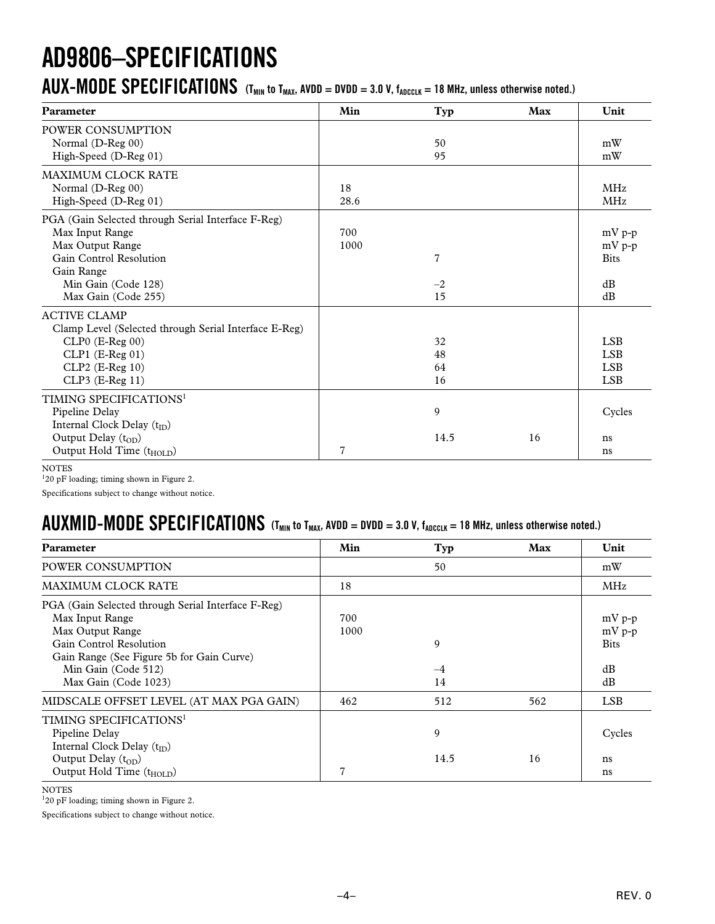# **AD9806–SPECIFICATIONS**

### $\bm{AUX}\bm{-MODE}$   $\bm{SPECIFICATIONS}$  (T<sub>MIN</sub> to T<sub>MAX</sub>, AVDD = DVDD = 3.0 V, f<sub>ADCCLK</sub> = 18 MHz, unless otherwise noted.)

| Parameter                                             | Min            | Typ            | Max | Unit        |
|-------------------------------------------------------|----------------|----------------|-----|-------------|
| POWER CONSUMPTION                                     |                |                |     |             |
| Normal (D-Reg 00)                                     |                | 50             |     | mW          |
| High-Speed (D-Reg 01)                                 |                | 95             |     | mW          |
| <b>MAXIMUM CLOCK RATE</b>                             |                |                |     |             |
| Normal (D-Reg 00)                                     | 18             |                |     | <b>MHz</b>  |
| High-Speed (D-Reg 01)                                 | 28.6           |                |     | <b>MHz</b>  |
| PGA (Gain Selected through Serial Interface F-Reg)    |                |                |     |             |
| Max Input Range                                       | 700            |                |     | $mV p-p$    |
| Max Output Range                                      | 1000           |                |     | $mV p-p$    |
| Gain Control Resolution                               |                | $\overline{7}$ |     | <b>Bits</b> |
| Gain Range                                            |                |                |     |             |
| Min Gain (Code 128)                                   |                | $-2$           |     | dB          |
| Max Gain (Code 255)                                   |                | 15             |     | dB          |
| <b>ACTIVE CLAMP</b>                                   |                |                |     |             |
| Clamp Level (Selected through Serial Interface E-Reg) |                |                |     |             |
| $CLP0$ (E-Reg 00)                                     |                | 32             |     | <b>LSB</b>  |
| CLP1 (E-Reg 01)                                       |                | 48             |     | <b>LSB</b>  |
| $CLP2$ (E-Reg 10)                                     |                | 64             |     | <b>LSB</b>  |
| CLP3 (E-Reg 11)                                       |                | 16             |     | <b>LSB</b>  |
| TIMING SPECIFICATIONS <sup>1</sup>                    |                |                |     |             |
| Pipeline Delay                                        |                | 9              |     | Cycles      |
| Internal Clock Delay (t <sub>ID</sub> )               |                |                |     |             |
| Output Delay (t <sub>OD</sub> )                       |                | 14.5           | 16  | ns          |
| Output Hold Time (t <sub>HOLD</sub> )                 | $\overline{7}$ |                |     | ns          |

NOTES

<sup>1</sup>20 pF loading; timing shown in Figure 2.

Specifications subject to change without notice.

### $\bm{AUXMID}\bm{\cdot} \bm{MODE}$   $\bm{SPECIFICATIONS}$  (T<sub>MIN</sub> to T<sub>MAX</sub>, AVDD = DVDD = 3.0 V, f<sub>ADCCLK</sub> = 18 MHz, unless otherwise noted.)

| <b>Parameter</b>                                                                                                                                                                                                 | Min         | Typ             | Max | Unit                                            |
|------------------------------------------------------------------------------------------------------------------------------------------------------------------------------------------------------------------|-------------|-----------------|-----|-------------------------------------------------|
| POWER CONSUMPTION                                                                                                                                                                                                |             | 50              |     | mW                                              |
| MAXIMUM CLOCK RATE                                                                                                                                                                                               | 18          |                 |     | <b>MHz</b>                                      |
| PGA (Gain Selected through Serial Interface F-Reg)<br>Max Input Range<br>Max Output Range<br>Gain Control Resolution<br>Gain Range (See Figure 5b for Gain Curve)<br>Min Gain (Code 512)<br>Max Gain (Code 1023) | 700<br>1000 | 9<br>$-4$<br>14 |     | $mV p-p$<br>$mV p-p$<br><b>Bits</b><br>dB<br>dB |
| MIDSCALE OFFSET LEVEL (AT MAX PGA GAIN)                                                                                                                                                                          | 462         | 512             | 562 | LSB.                                            |
| TIMING SPECIFICATIONS <sup>1</sup><br>Pipeline Delay<br>Internal Clock Delay $(t_{ID})$<br>Output Delay $(t_{OD})$                                                                                               |             | 9<br>14.5       | 16  | Cycles<br>ns                                    |
| Output Hold Time $(t_{HOLD})$                                                                                                                                                                                    | 7           |                 |     | ns                                              |

NOTES

1 20 pF loading; timing shown in Figure 2.

Specifications subject to change without notice.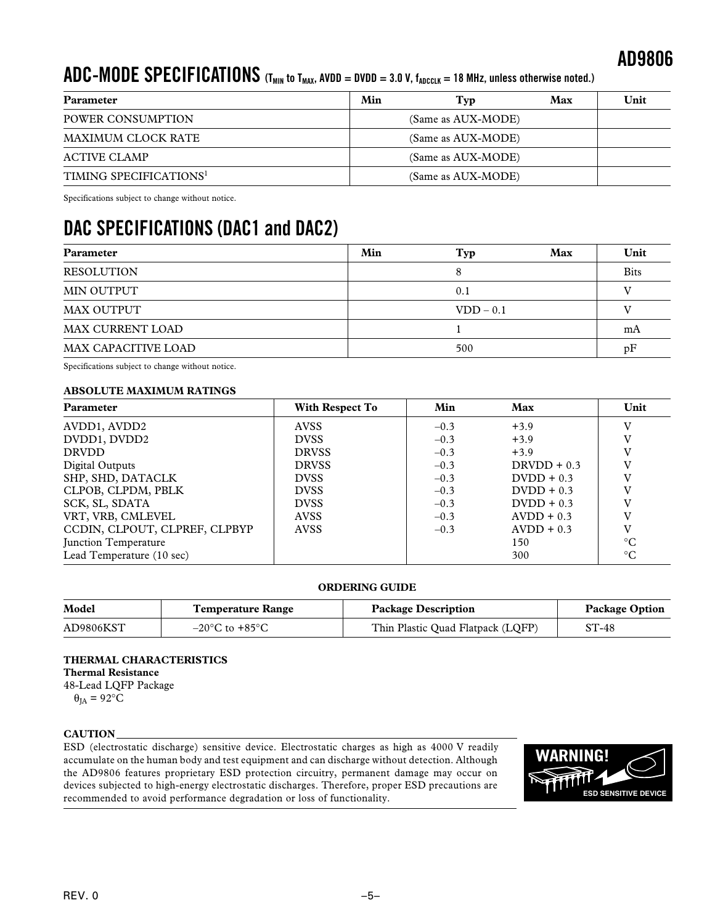### $\bf ADC\text{-}MDDE\text{-}SECIFICATIONS$  (T<sub>MIN</sub> to T<sub>MAX</sub>, AVDD = DVDD = 3.0 V, f<sub>ADCCLK</sub> = 18 MHz, unless otherwise noted.)

| Parameter                          | Min | Tvp                | Max | Unit |
|------------------------------------|-----|--------------------|-----|------|
| POWER CONSUMPTION                  |     | (Same as AUX-MODE) |     |      |
| MAXIMUM CLOCK RATE                 |     | (Same as AUX-MODE) |     |      |
| ACTIVE CLAMP                       |     | (Same as AUX-MODE) |     |      |
| TIMING SPECIFICATIONS <sup>1</sup> |     | (Same as AUX-MODE) |     |      |

Specifications subject to change without notice.

### **DAC SPECIFICATIONS (DAC1 and DAC2)**

| Parameter                  | Min | Typ         | Max | Unit        |
|----------------------------|-----|-------------|-----|-------------|
| <b>RESOLUTION</b>          |     |             |     | <b>Bits</b> |
| MIN OUTPUT                 |     | 0.1         |     |             |
| MAX OUTPUT                 |     | $VDD - 0.1$ |     |             |
| <b>MAX CURRENT LOAD</b>    |     |             |     | mA          |
| <b>MAX CAPACITIVE LOAD</b> |     | 500         |     | pF          |

Specifications subject to change without notice.

### **ABSOLUTE MAXIMUM RATINGS**

| Parameter                     | With Respect To | Min    | Max           | Unit            |
|-------------------------------|-----------------|--------|---------------|-----------------|
| AVDD1, AVDD2                  | <b>AVSS</b>     | $-0.3$ | $+3.9$        | v               |
| DVDD1, DVDD2                  | <b>DVSS</b>     | $-0.3$ | $+3.9$        | V               |
| <b>DRVDD</b>                  | <b>DRVSS</b>    | $-0.3$ | $+3.9$        | v               |
| Digital Outputs               | <b>DRVSS</b>    | $-0.3$ | $DRVDD + 0.3$ | v               |
| SHP, SHD, DATACLK             | <b>DVSS</b>     | $-0.3$ | $D VDD + 0.3$ | V               |
| CLPOB, CLPDM, PBLK            | <b>DVSS</b>     | $-0.3$ | $D VDD + 0.3$ | V               |
| SCK, SL, SDATA                | <b>DVSS</b>     | $-0.3$ | $D VDD + 0.3$ | V               |
| VRT, VRB, CMLEVEL             | <b>AVSS</b>     | $-0.3$ | $AVDD + 0.3$  | V               |
| CCDIN, CLPOUT, CLPREF, CLPBYP | <b>AVSS</b>     | $-0.3$ | $AVDD + 0.3$  | V               |
| Junction Temperature          |                 |        | 150           | $\rm ^{\circ}C$ |
| Lead Temperature (10 sec)     |                 |        | 300           | $^{\circ}C$     |

### **ORDERING GUIDE**

| Model     | <b>Temperature Range</b>           | <b>Package Description</b>        | <b>Package Option</b> |
|-----------|------------------------------------|-----------------------------------|-----------------------|
| AD9806KST | $-20^{\circ}$ C to $+85^{\circ}$ C | Thin Plastic Quad Flatpack (LQFP) | $ST-48$               |

### **THERMAL CHARACTERISTICS Thermal Resistance** 48-Lead LQFP Package

 $\theta_{IA} = 92$ °C

### **CAUTION**

ESD (electrostatic discharge) sensitive device. Electrostatic charges as high as 4000 V readily accumulate on the human body and test equipment and can discharge without detection. Although the AD9806 features proprietary ESD protection circuitry, permanent damage may occur on devices subjected to high-energy electrostatic discharges. Therefore, proper ESD precautions are recommended to avoid performance degradation or loss of functionality.

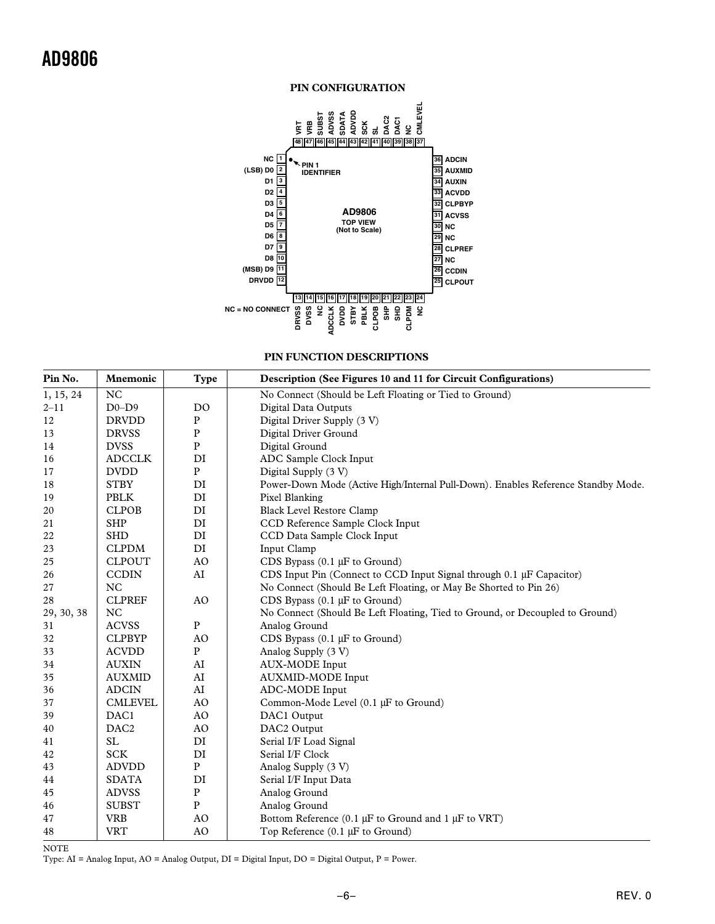

**PIN FUNCTION DESCRIPTIONS**

| Pin No.    | <b>Mnemonic</b>  | <b>Type</b>    | Description (See Figures 10 and 11 for Circuit Configurations)                    |
|------------|------------------|----------------|-----------------------------------------------------------------------------------|
| 1, 15, 24  | <b>NC</b>        |                | No Connect (Should be Left Floating or Tied to Ground)                            |
| $2 - 11$   | $D0-D9$          | D <sub>O</sub> | <b>Digital Data Outputs</b>                                                       |
| 12         | <b>DRVDD</b>     | P              | Digital Driver Supply (3 V)                                                       |
| 13         | <b>DRVSS</b>     | $\mathbf P$    | Digital Driver Ground                                                             |
| 14         | <b>DVSS</b>      | $\mathbf P$    | Digital Ground                                                                    |
| 16         | <b>ADCCLK</b>    | DI             | ADC Sample Clock Input                                                            |
| 17         | <b>DVDD</b>      | ${\bf P}$      | Digital Supply (3 V)                                                              |
| 18         | <b>STBY</b>      | DI             | Power-Down Mode (Active High/Internal Pull-Down). Enables Reference Standby Mode. |
| 19         | <b>PBLK</b>      | DI             | Pixel Blanking                                                                    |
| 20         | <b>CLPOB</b>     | DI             | <b>Black Level Restore Clamp</b>                                                  |
| 21         | <b>SHP</b>       | DI             | CCD Reference Sample Clock Input                                                  |
| 22         | <b>SHD</b>       | DI             | CCD Data Sample Clock Input                                                       |
| 23         | <b>CLPDM</b>     | DI             | Input Clamp                                                                       |
| 25         | <b>CLPOUT</b>    | A <sub>O</sub> | CDS Bypass $(0.1 \mu F)$ to Ground)                                               |
| 26         | <b>CCDIN</b>     | AI             | CDS Input Pin (Connect to CCD Input Signal through 0.1 µF Capacitor)              |
| 27         | <b>NC</b>        |                | No Connect (Should Be Left Floating, or May Be Shorted to Pin 26)                 |
| 28         | <b>CLPREF</b>    | A <sub>O</sub> | CDS Bypass $(0.1 \mu F)$ to Ground)                                               |
| 29, 30, 38 | NC               |                | No Connect (Should Be Left Floating, Tied to Ground, or Decoupled to Ground)      |
| 31         | <b>ACVSS</b>     | $\mathbf{P}$   | Analog Ground                                                                     |
| 32         | <b>CLPBYP</b>    | AO             | CDS Bypass $(0.1 \mu F)$ to Ground)                                               |
| 33         | <b>ACVDD</b>     | ${\bf P}$      | Analog Supply (3 V)                                                               |
| 34         | <b>AUXIN</b>     | AI             | <b>AUX-MODE</b> Input                                                             |
| 35         | <b>AUXMID</b>    | ${\rm AI}$     | <b>AUXMID-MODE</b> Input                                                          |
| 36         | <b>ADCIN</b>     | AI             | ADC-MODE Input                                                                    |
| 37         | <b>CMLEVEL</b>   | A <sub>O</sub> | Common-Mode Level (0.1 µF to Ground)                                              |
| 39         | DAC1             | AO             | DAC1 Output                                                                       |
| 40         | DAC <sub>2</sub> | A <sub>O</sub> | DAC2 Output                                                                       |
| 41         | <b>SL</b>        | DI             | Serial I/F Load Signal                                                            |
| 42         | <b>SCK</b>       | DI             | Serial I/F Clock                                                                  |
| 43         | <b>ADVDD</b>     | $\mathbf{P}$   | Analog Supply (3 V)                                                               |
| 44         | <b>SDATA</b>     | DI             | Serial I/F Input Data                                                             |
| 45         | <b>ADVSS</b>     | ${\bf P}$      | Analog Ground                                                                     |
| 46         | <b>SUBST</b>     | ${\bf P}$      | Analog Ground                                                                     |
| 47         | <b>VRB</b>       | AO             | Bottom Reference (0.1 $\mu$ F to Ground and 1 $\mu$ F to VRT)                     |
| 48         | <b>VRT</b>       | AO             | Top Reference $(0.1 \mu F)$ to Ground)                                            |

NOTE

Type: AI = Analog Input, AO = Analog Output, DI = Digital Input, DO = Digital Output, P = Power.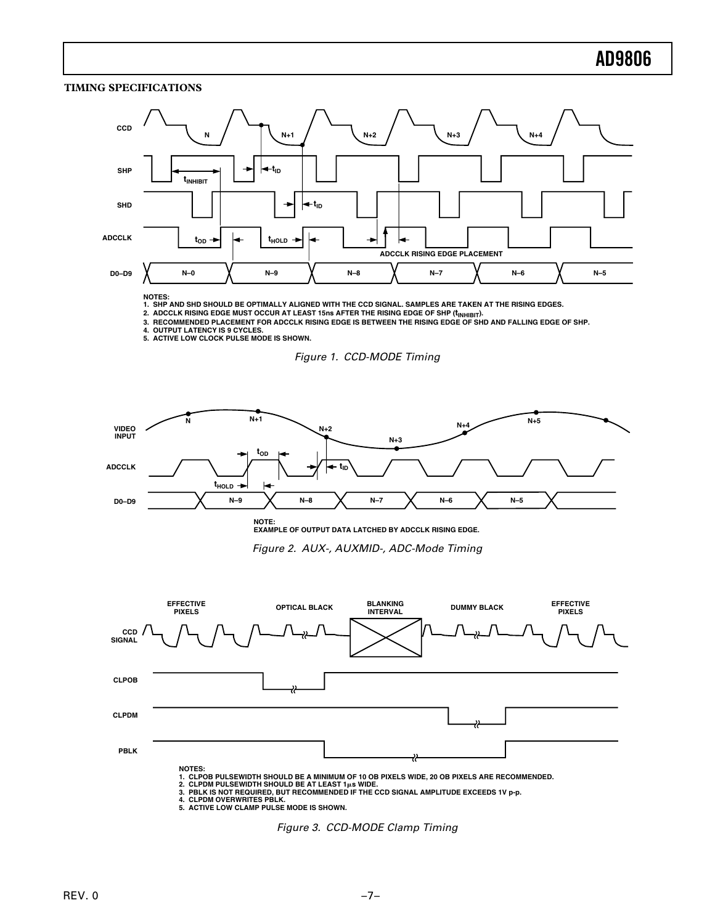### **TIMING SPECIFICATIONS**



**NOTES:**

**1. SHP AND SHD SHOULD BE OPTIMALLY ALIGNED WITH THE CCD SIGNAL. SAMPLES ARE TAKEN AT THE RISING EDGES.**

2. ADCCLK RISING EDGE MUST OCCUR AT LEAST 15ns AFTER THE RISING EDGE OF SHP (İ<sub>NHIBIT</sub>).<br>3. RECOMMENDED PLACEMENT FOR ADCCLK RISING EDGE IS BETWEEN THE RISING EDGE OF SHD AND FALLING EDGE OF SHP.

**4. OUTPUT LATENCY IS 9 CYCLES. 5. ACTIVE LOW CLOCK PULSE MODE IS SHOWN.**





**NOTE: EXAMPLE OF OUTPUT DATA LATCHED BY ADCCLK RISING EDGE.**

Figure 2. AUX-, AUXMID-, ADC-Mode Timing



**4. CLPDM OVERWRITES PBLK. 5. ACTIVE LOW CLAMP PULSE MODE IS SHOWN.**

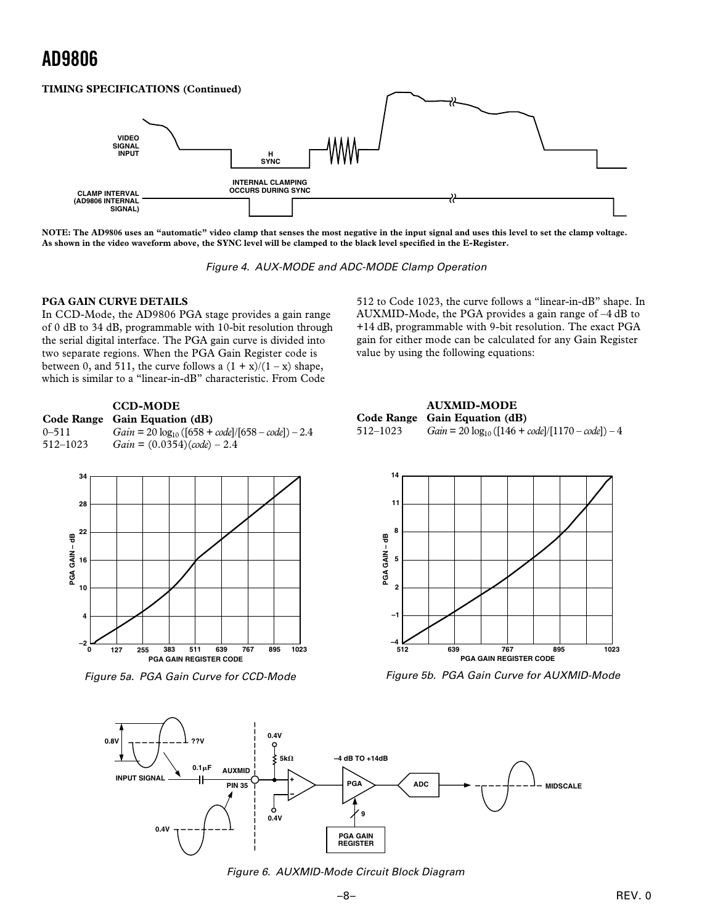### **TIMING SPECIFICATIONS (Continued)**



**NOTE: The AD9806 uses an "automatic" video clamp that senses the most negative in the input signal and uses this level to set the clamp voltage. As shown in the video waveform above, the SYNC level will be clamped to the black level specified in the E-Register.**

Figure 4. AUX-MODE and ADC-MODE Clamp Operation

### **PGA GAIN CURVE DETAILS**

In CCD-Mode, the AD9806 PGA stage provides a gain range of 0 dB to 34 dB, programmable with 10-bit resolution through the serial digital interface. The PGA gain curve is divided into two separate regions. When the PGA Gain Register code is between 0, and 511, the curve follows a  $(1 + x)/(1 - x)$  shape, which is similar to a "linear-in-dB" characteristic. From Code

|           | <b>CCD-MODE</b><br>Code Range Gain Equation (dB)       |
|-----------|--------------------------------------------------------|
| $0 - 511$ | $Gain = 20 log_{10} ([658 + code]/[658 - code]) - 2.4$ |
| 512-1023  | $Gain = (0.0354)(code) - 2.4$                          |



Figure 5a. PGA Gain Curve for CCD-Mode

512 to Code 1023, the curve follows a "linear-in-dB" shape. In AUXMID-Mode, the PGA provides a gain range of –4 dB to +14 dB, programmable with 9-bit resolution. The exact PGA gain for either mode can be calculated for any Gain Register value by using the following equations:

|          | <b>AUXMID-MODE</b>                                    |
|----------|-------------------------------------------------------|
|          | Code Range Gain Equation (dB)                         |
| 512–1023 | $Gain = 20 log_{10} ([146 + code]/[1170 - code]) - 4$ |



Figure 5b. PGA Gain Curve for AUXMID-Mode



Figure 6. AUXMID-Mode Circuit Block Diagram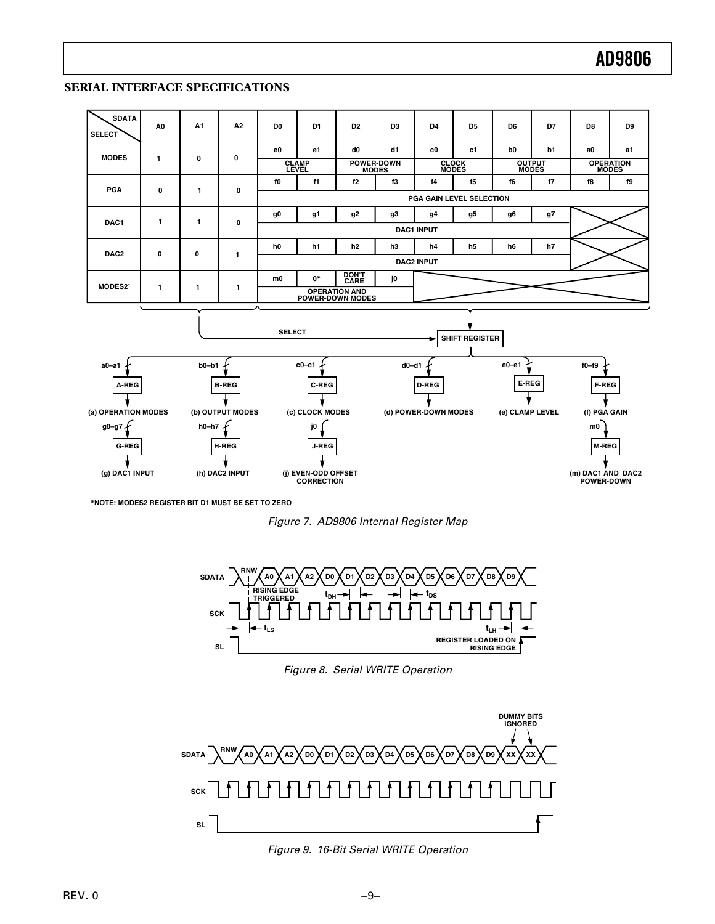### **SERIAL INTERFACE SPECIFICATIONS**



**\*NOTE: MODES2 REGISTER BIT D1 MUST BE SET TO ZERO**





Figure 8. Serial WRITE Operation



Figure 9. 16-Bit Serial WRITE Operation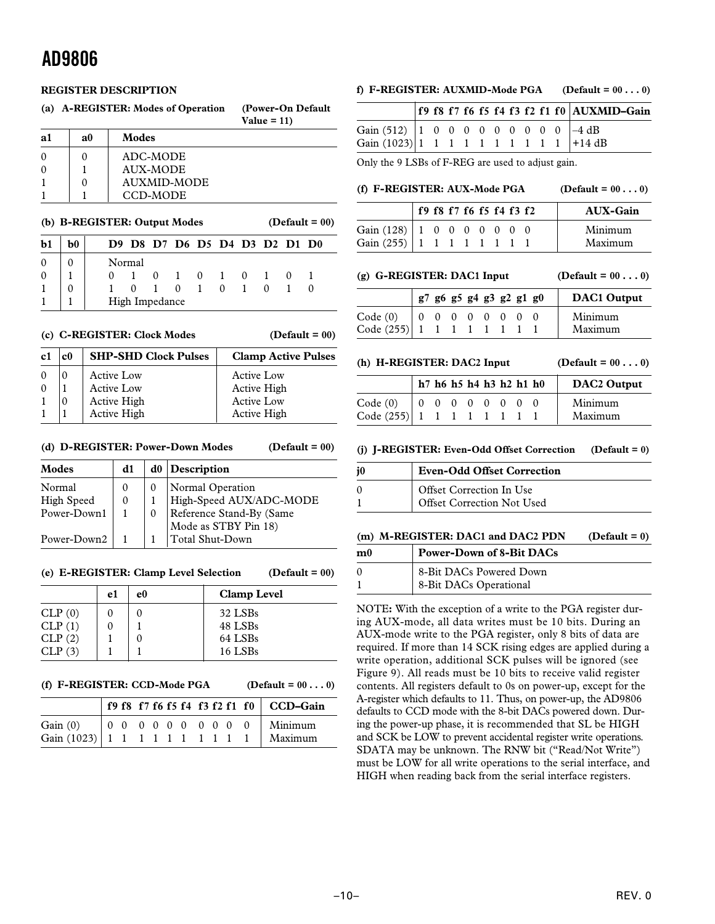### **REGISTER DESCRIPTION**

| (a) |          | A-REGISTER: Modes of Operation | (Power-On Default)<br>Value = $11$ ) |
|-----|----------|--------------------------------|--------------------------------------|
| a1  | $\bf{a}$ | Modes                          |                                      |
|     |          | ADC-MODE                       |                                      |
|     |          | <b>AUX-MODE</b>                |                                      |
|     |          | AUXMID-MODE                    |                                      |
|     |          | CCD-MODE                       |                                      |

#### **(b) B-REGISTER: Output Modes (Default = 00)**

| $b1$         | b <sub>0</sub> |          | D9 D8 D7 D6 D5 D4 D3 D2 D1 D0 |             |   |             |  |  |
|--------------|----------------|----------|-------------------------------|-------------|---|-------------|--|--|
| $\theta$     |                | Normal   |                               |             |   |             |  |  |
| $\mathbf{0}$ |                | $\Omega$ |                               | $0 \quad 1$ |   | $0 \quad 1$ |  |  |
|              |                |          |                               | $\Omega$    | 1 | 0           |  |  |
|              |                |          | High Impedance                |             |   |             |  |  |

#### **(c) C-REGISTER: Clock Modes (Default = 00)**

| c1       | c <sub>0</sub> | <b>SHP-SHD Clock Pulses</b> | <b>Clamp Active Pulses</b> |
|----------|----------------|-----------------------------|----------------------------|
| $\Omega$ |                | Active Low                  | <b>Active Low</b>          |
| $\theta$ |                | Active Low                  | Active High                |
|          |                | Active High                 | <b>Active Low</b>          |
|          |                | Active High                 | Active High                |

#### **(d) D-REGISTER: Power-Down Modes (Default = 00)**

| Modes       | d1 | $d0$ Description         |
|-------------|----|--------------------------|
| Normal      |    | Normal Operation         |
| High Speed  |    | High-Speed AUX/ADC-MODE  |
| Power-Down1 |    | Reference Stand-By (Same |
|             |    | Mode as STBY Pin 18)     |
| Power-Down2 |    | Total Shut-Down          |

### **(e) E-REGISTER: Clamp Level Selection (Default = 00)**

|        | e1 | e0 | <b>Clamp Level</b> |
|--------|----|----|--------------------|
| CLP(0) |    |    | 32 LSBs            |
| CLP(1) |    |    | 48 LSBs            |
| CLP(2) |    |    | 64 LSBs            |
| CLP(3) |    |    | 16 LSBs            |

#### **(f) F-REGISTER: CCD-Mode PGA (Default = 00 . . . 0)**

|                                                                                   |  |  |  |  |  | f9 f8 f7 f6 f5 f4 f3 f2 f1 f0 $\vert$ CCD-Gain |
|-----------------------------------------------------------------------------------|--|--|--|--|--|------------------------------------------------|
| Gain (0) 0 0 0 0 0 0 0 0 0 0 Minimum<br>Gain (1023) 1 1 1 1 1 1 1 1 1 1 1 Maximum |  |  |  |  |  |                                                |
|                                                                                   |  |  |  |  |  |                                                |

### **f) F-REGISTER: AUXMID-Mode PGA (Default = 00 . . . 0)**

**f 9 f8 f 7 f6 f5 f4 f 3 f2 f 1 f 0 AUXMID–Gain** Gain (512) 1 0 0 0 0 0 0 0 0 0  $-4$  dB Gain  $(1023)$  1 1 1 1 1 1 1 1 1 1 +14 dB

Only the 9 LSBs of F-REG are used to adjust gain.

### (f)  $F\text{-}REGISTER: AUX-Mode PGA$  (Default =  $00...0$ )

|                                  | f9 f8 f7 f6 f5 f4 f3 f2 |  |  |  | <b>AUX-Gain</b> |
|----------------------------------|-------------------------|--|--|--|-----------------|
| Gain $(128)$   1 0 0 0 0 0 0 0 0 |                         |  |  |  | Minimum         |
| Gain $(255)$   1 1 1 1 1 1 1 1   |                         |  |  |  | Maximum         |

(g)  $G\text{-REGISTER: DAC1 Input}$  (Default =  $00...0$ )

|                              | g7 g6 g5 g4 g3 g2 g1 g0 |  |  |  | DAC1 Output |
|------------------------------|-------------------------|--|--|--|-------------|
| Code(0)                      |                         |  |  |  | Minimum     |
| Code $(255)$ 1 1 1 1 1 1 1 1 |                         |  |  |  | Maximum     |

**(h) H-REGISTER: DAC2 Input (Default = 00 . . . 0)**

|                              | h7 h6 h5 h4 h3 h2 h1 h0 |  |  |  | DAC2 Output |
|------------------------------|-------------------------|--|--|--|-------------|
| Code(0)                      | 0 0 0 0 0 0 0 0         |  |  |  | Minimum     |
| Code $(255)$ 1 1 1 1 1 1 1 1 |                         |  |  |  | Maximum     |

**(j) J-REGISTER: Even-Odd Offset Correction (Default = 0)**

| <b>Even-Odd Offset Correction</b>                      |
|--------------------------------------------------------|
| Offset Correction In Use<br>Offset Correction Not Used |

### **(m) M-REGISTER: DAC1 and DAC2 PDN (Default = 0)**

| m <sub>0</sub> | <b>Power-Down of 8-Bit DACs</b> |
|----------------|---------------------------------|
|                | 8-Bit DACs Powered Down         |
|                | 8-Bit DACs Operational          |

NOTE**:** With the exception of a write to the PGA register during AUX-mode, all data writes must be 10 bits. During an AUX-mode write to the PGA register, only 8 bits of data are required. If more than 14 SCK rising edges are applied during a write operation, additional SCK pulses will be ignored (see Figure 9). All reads must be 10 bits to receive valid register contents. All registers default to 0s on power-up, except for the A-register which defaults to 11. Thus, on power-up, the AD9806 defaults to CCD mode with the 8-bit DACs powered down. During the power-up phase, it is recommended that SL be HIGH and SCK be LOW to prevent accidental register write operations. SDATA may be unknown. The RNW bit ("Read/Not Write") must be LOW for all write operations to the serial interface, and HIGH when reading back from the serial interface registers.

–10–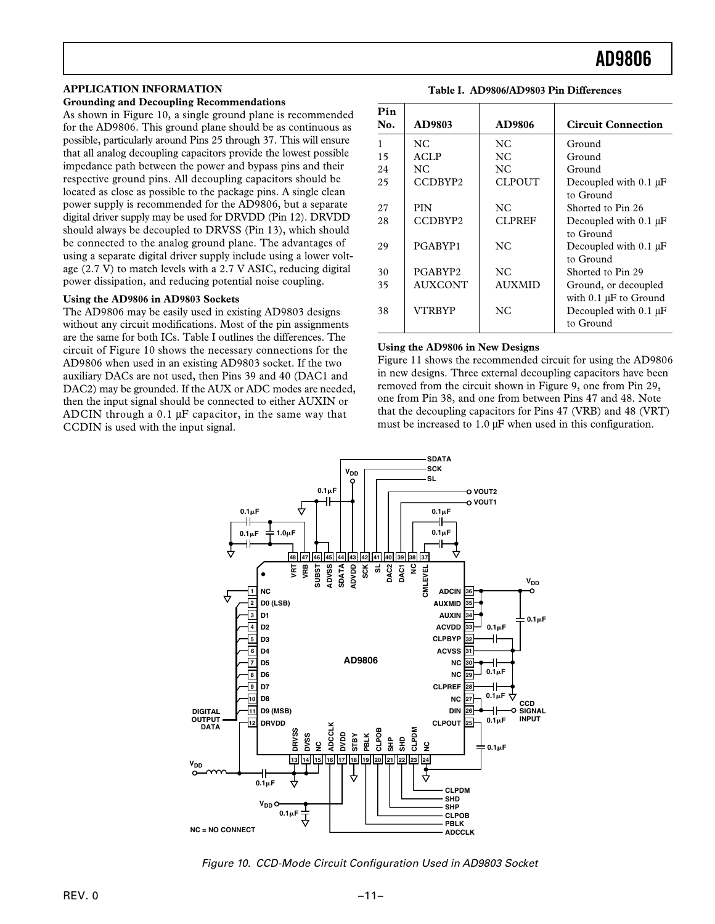#### **APPLICATION INFORMATION**

### **Grounding and Decoupling Recommendations**

As shown in Figure 10, a single ground plane is recommended for the AD9806. This ground plane should be as continuous as possible, particularly around Pins 25 through 37. This will ensure that all analog decoupling capacitors provide the lowest possible impedance path between the power and bypass pins and their respective ground pins. All decoupling capacitors should be located as close as possible to the package pins. A single clean power supply is recommended for the AD9806, but a separate digital driver supply may be used for DRVDD (Pin 12). DRVDD should always be decoupled to DRVSS (Pin 13), which should be connected to the analog ground plane. The advantages of using a separate digital driver supply include using a lower voltage (2.7 V) to match levels with a 2.7 V ASIC, reducing digital power dissipation, and reducing potential noise coupling.

#### **Using the AD9806 in AD9803 Sockets**

The AD9806 may be easily used in existing AD9803 designs without any circuit modifications. Most of the pin assignments are the same for both ICs. Table I outlines the differences. The circuit of Figure 10 shows the necessary connections for the AD9806 when used in an existing AD9803 socket. If the two auxiliary DACs are not used, then Pins 39 and 40 (DAC1 and DAC2) may be grounded. If the AUX or ADC modes are needed, then the input signal should be connected to either AUXIN or ADCIN through a 0.1 µF capacitor, in the same way that CCDIN is used with the input signal.

| Pin<br>No. | AD9803              | <b>AD9806</b>  | <b>Circuit Connection</b>  |
|------------|---------------------|----------------|----------------------------|
|            | NC.                 | NC.            | Ground                     |
| 15         | <b>ACLP</b>         | NC             | Ground                     |
| 24         | NC.                 | NC.            | Ground                     |
| 25         | CCDBYP2             | CLPOUT         | Decoupled with $0.1 \mu F$ |
|            |                     |                | to Ground                  |
| 27         | <b>PIN</b>          | NC.            | Shorted to Pin 26          |
| 28         | CCDBYP <sub>2</sub> | CLPREF         | Decoupled with 0.1 µF      |
|            |                     |                | to Ground                  |
| 29         | PGABYP1             | NC.            | Decoupled with $0.1 \mu F$ |
|            |                     |                | to Ground                  |
| 30         | PGABYP2             | NC             | Shorted to Pin 29          |
| 35         | <b>AUXCONT</b>      | <b>AUXMID</b>  | Ground, or decoupled       |
|            |                     |                | with $0.1 \mu F$ to Ground |
| 38         | VTRBYP              | N <sub>C</sub> | Decoupled with $0.1 \mu F$ |
|            |                     |                | to Ground                  |

**Table I. AD9806/AD9803 Pin Differences**

#### **Using the AD9806 in New Designs**

Figure 11 shows the recommended circuit for using the AD9806 in new designs. Three external decoupling capacitors have been removed from the circuit shown in Figure 9, one from Pin 29, one from Pin 38, and one from between Pins 47 and 48. Note that the decoupling capacitors for Pins 47 (VRB) and 48 (VRT) must be increased to 1.0  $\mu$ F when used in this configuration.



Figure 10. CCD-Mode Circuit Configuration Used in AD9803 Socket